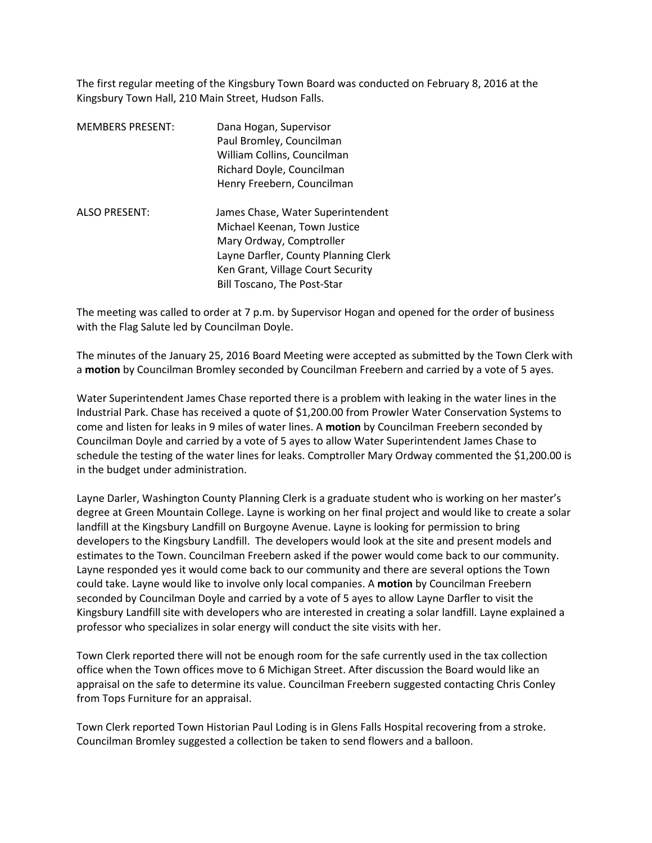The first regular meeting of the Kingsbury Town Board was conducted on February 8, 2016 at the Kingsbury Town Hall, 210 Main Street, Hudson Falls.

| <b>MEMBERS PRESENT:</b> | Dana Hogan, Supervisor<br>Paul Bromley, Councilman<br>William Collins, Councilman<br>Richard Doyle, Councilman<br>Henry Freebern, Councilman                                                                     |
|-------------------------|------------------------------------------------------------------------------------------------------------------------------------------------------------------------------------------------------------------|
| <b>ALSO PRESENT:</b>    | James Chase, Water Superintendent<br>Michael Keenan, Town Justice<br>Mary Ordway, Comptroller<br>Layne Darfler, County Planning Clerk<br>Ken Grant, Village Court Security<br><b>Bill Toscano, The Post-Star</b> |

The meeting was called to order at 7 p.m. by Supervisor Hogan and opened for the order of business with the Flag Salute led by Councilman Doyle.

The minutes of the January 25, 2016 Board Meeting were accepted as submitted by the Town Clerk with a **motion** by Councilman Bromley seconded by Councilman Freebern and carried by a vote of 5 ayes.

Water Superintendent James Chase reported there is a problem with leaking in the water lines in the Industrial Park. Chase has received a quote of \$1,200.00 from Prowler Water Conservation Systems to come and listen for leaks in 9 miles of water lines. A **motion** by Councilman Freebern seconded by Councilman Doyle and carried by a vote of 5 ayes to allow Water Superintendent James Chase to schedule the testing of the water lines for leaks. Comptroller Mary Ordway commented the \$1,200.00 is in the budget under administration.

Layne Darler, Washington County Planning Clerk is a graduate student who is working on her master's degree at Green Mountain College. Layne is working on her final project and would like to create a solar landfill at the Kingsbury Landfill on Burgoyne Avenue. Layne is looking for permission to bring developers to the Kingsbury Landfill. The developers would look at the site and present models and estimates to the Town. Councilman Freebern asked if the power would come back to our community. Layne responded yes it would come back to our community and there are several options the Town could take. Layne would like to involve only local companies. A **motion** by Councilman Freebern seconded by Councilman Doyle and carried by a vote of 5 ayes to allow Layne Darfler to visit the Kingsbury Landfill site with developers who are interested in creating a solar landfill. Layne explained a professor who specializes in solar energy will conduct the site visits with her.

Town Clerk reported there will not be enough room for the safe currently used in the tax collection office when the Town offices move to 6 Michigan Street. After discussion the Board would like an appraisal on the safe to determine its value. Councilman Freebern suggested contacting Chris Conley from Tops Furniture for an appraisal.

Town Clerk reported Town Historian Paul Loding is in Glens Falls Hospital recovering from a stroke. Councilman Bromley suggested a collection be taken to send flowers and a balloon.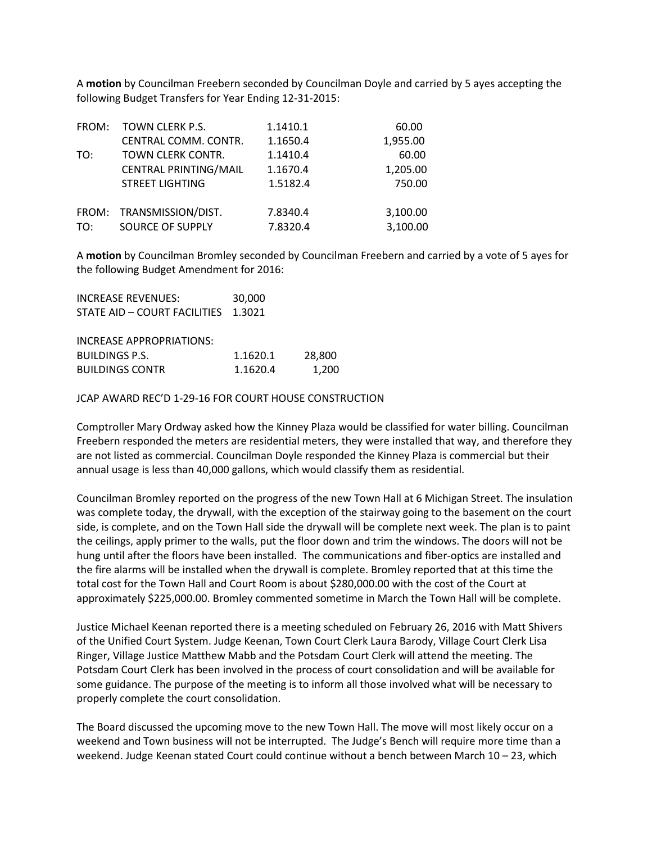A **motion** by Councilman Freebern seconded by Councilman Doyle and carried by 5 ayes accepting the following Budget Transfers for Year Ending 12-31-2015:

| FROM: | TOWN CLERK P.S.              | 1.1410.1 | 60.00    |
|-------|------------------------------|----------|----------|
|       | CENTRAL COMM. CONTR.         | 1.1650.4 | 1,955.00 |
| TO:   | TOWN CLERK CONTR.            | 1.1410.4 | 60.00    |
|       | <b>CENTRAL PRINTING/MAIL</b> | 1.1670.4 | 1,205.00 |
|       | <b>STREET LIGHTING</b>       | 1.5182.4 | 750.00   |
|       |                              |          |          |
|       | FROM: TRANSMISSION/DIST.     | 7.8340.4 | 3,100.00 |
| TO:   | SOURCE OF SUPPLY             | 7.8320.4 | 3,100.00 |

A **motion** by Councilman Bromley seconded by Councilman Freebern and carried by a vote of 5 ayes for the following Budget Amendment for 2016:

| INCREASE REVENUES:                  | 30,000 |
|-------------------------------------|--------|
| STATE AID - COURT FACILITIES 1.3021 |        |

| INCREASE APPROPRIATIONS: |          |        |
|--------------------------|----------|--------|
| BUILDINGS P.S.           | 1.1620.1 | 28,800 |
| <b>BUILDINGS CONTR</b>   | 1.1620.4 | 1.200  |

JCAP AWARD REC'D 1-29-16 FOR COURT HOUSE CONSTRUCTION

Comptroller Mary Ordway asked how the Kinney Plaza would be classified for water billing. Councilman Freebern responded the meters are residential meters, they were installed that way, and therefore they are not listed as commercial. Councilman Doyle responded the Kinney Plaza is commercial but their annual usage is less than 40,000 gallons, which would classify them as residential.

Councilman Bromley reported on the progress of the new Town Hall at 6 Michigan Street. The insulation was complete today, the drywall, with the exception of the stairway going to the basement on the court side, is complete, and on the Town Hall side the drywall will be complete next week. The plan is to paint the ceilings, apply primer to the walls, put the floor down and trim the windows. The doors will not be hung until after the floors have been installed. The communications and fiber-optics are installed and the fire alarms will be installed when the drywall is complete. Bromley reported that at this time the total cost for the Town Hall and Court Room is about \$280,000.00 with the cost of the Court at approximately \$225,000.00. Bromley commented sometime in March the Town Hall will be complete.

Justice Michael Keenan reported there is a meeting scheduled on February 26, 2016 with Matt Shivers of the Unified Court System. Judge Keenan, Town Court Clerk Laura Barody, Village Court Clerk Lisa Ringer, Village Justice Matthew Mabb and the Potsdam Court Clerk will attend the meeting. The Potsdam Court Clerk has been involved in the process of court consolidation and will be available for some guidance. The purpose of the meeting is to inform all those involved what will be necessary to properly complete the court consolidation.

The Board discussed the upcoming move to the new Town Hall. The move will most likely occur on a weekend and Town business will not be interrupted. The Judge's Bench will require more time than a weekend. Judge Keenan stated Court could continue without a bench between March 10 – 23, which